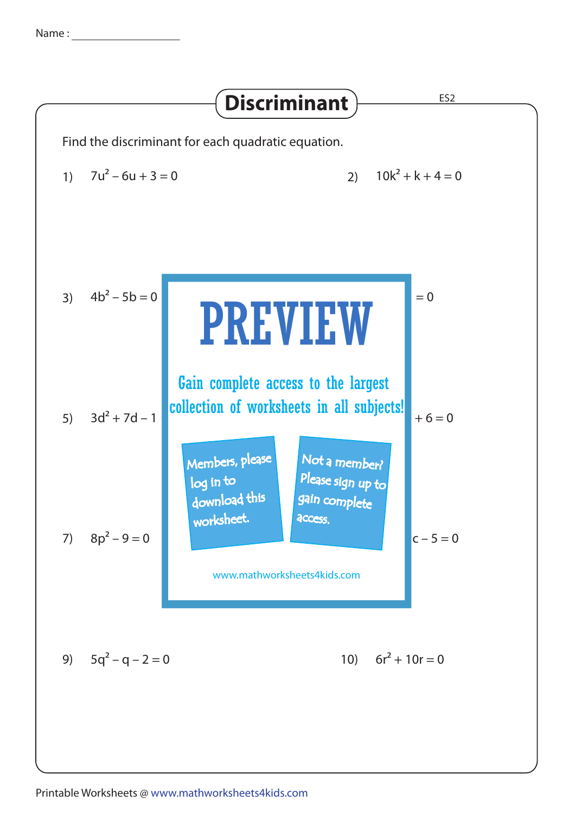